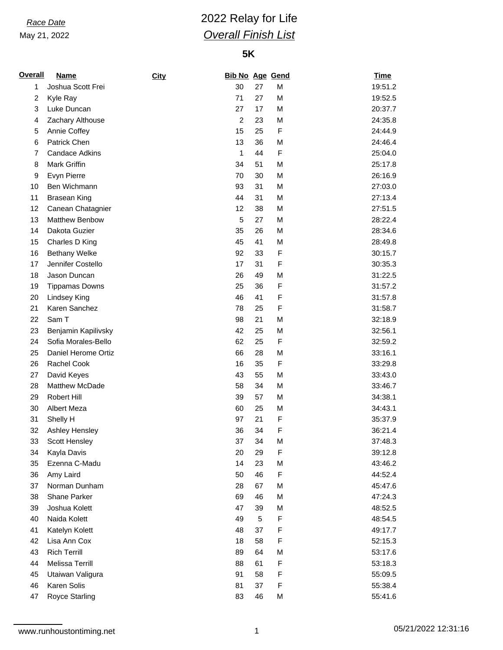May 21, 2022

# *Race Date* 2022 Relay for Life *Overall Finish List*

### **5K**

| <b>Name</b>           | City                                                                                                                                                                                                                                                                                                                                                                                                                                                                                                                                                                                                                                                                                               |                |                                                                                                                                                                                 |                                                                                                                                                                                                          | <b>Time</b>                                                                                                                                                                            |
|-----------------------|----------------------------------------------------------------------------------------------------------------------------------------------------------------------------------------------------------------------------------------------------------------------------------------------------------------------------------------------------------------------------------------------------------------------------------------------------------------------------------------------------------------------------------------------------------------------------------------------------------------------------------------------------------------------------------------------------|----------------|---------------------------------------------------------------------------------------------------------------------------------------------------------------------------------|----------------------------------------------------------------------------------------------------------------------------------------------------------------------------------------------------------|----------------------------------------------------------------------------------------------------------------------------------------------------------------------------------------|
| Joshua Scott Frei     |                                                                                                                                                                                                                                                                                                                                                                                                                                                                                                                                                                                                                                                                                                    | 30             | 27                                                                                                                                                                              | M                                                                                                                                                                                                        | 19:51.2                                                                                                                                                                                |
| Kyle Ray              |                                                                                                                                                                                                                                                                                                                                                                                                                                                                                                                                                                                                                                                                                                    | 71             | 27                                                                                                                                                                              | M                                                                                                                                                                                                        | 19:52.5                                                                                                                                                                                |
| Luke Duncan           |                                                                                                                                                                                                                                                                                                                                                                                                                                                                                                                                                                                                                                                                                                    | 27             | 17                                                                                                                                                                              | M                                                                                                                                                                                                        | 20:37.7                                                                                                                                                                                |
|                       |                                                                                                                                                                                                                                                                                                                                                                                                                                                                                                                                                                                                                                                                                                    | $\overline{c}$ | 23                                                                                                                                                                              | M                                                                                                                                                                                                        | 24:35.8                                                                                                                                                                                |
|                       |                                                                                                                                                                                                                                                                                                                                                                                                                                                                                                                                                                                                                                                                                                    | 15             | 25                                                                                                                                                                              | F                                                                                                                                                                                                        | 24:44.9                                                                                                                                                                                |
| Patrick Chen          |                                                                                                                                                                                                                                                                                                                                                                                                                                                                                                                                                                                                                                                                                                    | 13             | 36                                                                                                                                                                              | M                                                                                                                                                                                                        | 24:46.4                                                                                                                                                                                |
| <b>Candace Adkins</b> |                                                                                                                                                                                                                                                                                                                                                                                                                                                                                                                                                                                                                                                                                                    | 1              | 44                                                                                                                                                                              | F                                                                                                                                                                                                        | 25:04.0                                                                                                                                                                                |
| Mark Griffin          |                                                                                                                                                                                                                                                                                                                                                                                                                                                                                                                                                                                                                                                                                                    | 34             |                                                                                                                                                                                 | M                                                                                                                                                                                                        | 25:17.8                                                                                                                                                                                |
|                       |                                                                                                                                                                                                                                                                                                                                                                                                                                                                                                                                                                                                                                                                                                    | 70             |                                                                                                                                                                                 | M                                                                                                                                                                                                        | 26:16.9                                                                                                                                                                                |
|                       |                                                                                                                                                                                                                                                                                                                                                                                                                                                                                                                                                                                                                                                                                                    |                | 31                                                                                                                                                                              |                                                                                                                                                                                                          | 27:03.0                                                                                                                                                                                |
|                       |                                                                                                                                                                                                                                                                                                                                                                                                                                                                                                                                                                                                                                                                                                    | 44             | 31                                                                                                                                                                              |                                                                                                                                                                                                          | 27:13.4                                                                                                                                                                                |
|                       |                                                                                                                                                                                                                                                                                                                                                                                                                                                                                                                                                                                                                                                                                                    | 12             | 38                                                                                                                                                                              |                                                                                                                                                                                                          | 27:51.5                                                                                                                                                                                |
| <b>Matthew Benbow</b> |                                                                                                                                                                                                                                                                                                                                                                                                                                                                                                                                                                                                                                                                                                    |                |                                                                                                                                                                                 | M                                                                                                                                                                                                        | 28:22.4                                                                                                                                                                                |
|                       |                                                                                                                                                                                                                                                                                                                                                                                                                                                                                                                                                                                                                                                                                                    |                |                                                                                                                                                                                 |                                                                                                                                                                                                          | 28:34.6                                                                                                                                                                                |
|                       |                                                                                                                                                                                                                                                                                                                                                                                                                                                                                                                                                                                                                                                                                                    |                |                                                                                                                                                                                 | M                                                                                                                                                                                                        | 28:49.8                                                                                                                                                                                |
|                       |                                                                                                                                                                                                                                                                                                                                                                                                                                                                                                                                                                                                                                                                                                    |                |                                                                                                                                                                                 | F                                                                                                                                                                                                        | 30:15.7                                                                                                                                                                                |
|                       |                                                                                                                                                                                                                                                                                                                                                                                                                                                                                                                                                                                                                                                                                                    |                |                                                                                                                                                                                 | F                                                                                                                                                                                                        | 30:35.3                                                                                                                                                                                |
|                       |                                                                                                                                                                                                                                                                                                                                                                                                                                                                                                                                                                                                                                                                                                    |                |                                                                                                                                                                                 |                                                                                                                                                                                                          | 31:22.5                                                                                                                                                                                |
|                       |                                                                                                                                                                                                                                                                                                                                                                                                                                                                                                                                                                                                                                                                                                    |                |                                                                                                                                                                                 |                                                                                                                                                                                                          | 31:57.2                                                                                                                                                                                |
|                       |                                                                                                                                                                                                                                                                                                                                                                                                                                                                                                                                                                                                                                                                                                    |                |                                                                                                                                                                                 |                                                                                                                                                                                                          | 31:57.8                                                                                                                                                                                |
|                       |                                                                                                                                                                                                                                                                                                                                                                                                                                                                                                                                                                                                                                                                                                    |                |                                                                                                                                                                                 |                                                                                                                                                                                                          | 31:58.7                                                                                                                                                                                |
|                       |                                                                                                                                                                                                                                                                                                                                                                                                                                                                                                                                                                                                                                                                                                    |                |                                                                                                                                                                                 |                                                                                                                                                                                                          | 32:18.9                                                                                                                                                                                |
|                       |                                                                                                                                                                                                                                                                                                                                                                                                                                                                                                                                                                                                                                                                                                    |                |                                                                                                                                                                                 |                                                                                                                                                                                                          | 32:56.1                                                                                                                                                                                |
|                       |                                                                                                                                                                                                                                                                                                                                                                                                                                                                                                                                                                                                                                                                                                    |                |                                                                                                                                                                                 |                                                                                                                                                                                                          | 32:59.2                                                                                                                                                                                |
|                       |                                                                                                                                                                                                                                                                                                                                                                                                                                                                                                                                                                                                                                                                                                    |                |                                                                                                                                                                                 |                                                                                                                                                                                                          | 33:16.1                                                                                                                                                                                |
|                       |                                                                                                                                                                                                                                                                                                                                                                                                                                                                                                                                                                                                                                                                                                    |                |                                                                                                                                                                                 |                                                                                                                                                                                                          | 33:29.8                                                                                                                                                                                |
|                       |                                                                                                                                                                                                                                                                                                                                                                                                                                                                                                                                                                                                                                                                                                    |                |                                                                                                                                                                                 |                                                                                                                                                                                                          | 33:43.0                                                                                                                                                                                |
|                       |                                                                                                                                                                                                                                                                                                                                                                                                                                                                                                                                                                                                                                                                                                    |                |                                                                                                                                                                                 |                                                                                                                                                                                                          | 33:46.7                                                                                                                                                                                |
|                       |                                                                                                                                                                                                                                                                                                                                                                                                                                                                                                                                                                                                                                                                                                    |                |                                                                                                                                                                                 |                                                                                                                                                                                                          | 34:38.1                                                                                                                                                                                |
|                       |                                                                                                                                                                                                                                                                                                                                                                                                                                                                                                                                                                                                                                                                                                    |                |                                                                                                                                                                                 |                                                                                                                                                                                                          | 34:43.1                                                                                                                                                                                |
|                       |                                                                                                                                                                                                                                                                                                                                                                                                                                                                                                                                                                                                                                                                                                    |                | 21                                                                                                                                                                              |                                                                                                                                                                                                          | 35:37.9                                                                                                                                                                                |
|                       |                                                                                                                                                                                                                                                                                                                                                                                                                                                                                                                                                                                                                                                                                                    |                |                                                                                                                                                                                 |                                                                                                                                                                                                          | 36:21.4                                                                                                                                                                                |
|                       |                                                                                                                                                                                                                                                                                                                                                                                                                                                                                                                                                                                                                                                                                                    |                |                                                                                                                                                                                 |                                                                                                                                                                                                          | 37:48.3                                                                                                                                                                                |
|                       |                                                                                                                                                                                                                                                                                                                                                                                                                                                                                                                                                                                                                                                                                                    |                |                                                                                                                                                                                 |                                                                                                                                                                                                          | 39:12.8                                                                                                                                                                                |
|                       |                                                                                                                                                                                                                                                                                                                                                                                                                                                                                                                                                                                                                                                                                                    |                |                                                                                                                                                                                 |                                                                                                                                                                                                          | 43:46.2                                                                                                                                                                                |
|                       |                                                                                                                                                                                                                                                                                                                                                                                                                                                                                                                                                                                                                                                                                                    | 50             |                                                                                                                                                                                 |                                                                                                                                                                                                          | 44:52.4                                                                                                                                                                                |
|                       |                                                                                                                                                                                                                                                                                                                                                                                                                                                                                                                                                                                                                                                                                                    | 28             |                                                                                                                                                                                 |                                                                                                                                                                                                          | 45:47.6                                                                                                                                                                                |
|                       |                                                                                                                                                                                                                                                                                                                                                                                                                                                                                                                                                                                                                                                                                                    |                |                                                                                                                                                                                 |                                                                                                                                                                                                          | 47:24.3                                                                                                                                                                                |
|                       |                                                                                                                                                                                                                                                                                                                                                                                                                                                                                                                                                                                                                                                                                                    | 47             | 39                                                                                                                                                                              |                                                                                                                                                                                                          | 48:52.5                                                                                                                                                                                |
|                       |                                                                                                                                                                                                                                                                                                                                                                                                                                                                                                                                                                                                                                                                                                    |                | 5                                                                                                                                                                               |                                                                                                                                                                                                          | 48:54.5                                                                                                                                                                                |
|                       |                                                                                                                                                                                                                                                                                                                                                                                                                                                                                                                                                                                                                                                                                                    |                |                                                                                                                                                                                 |                                                                                                                                                                                                          | 49:17.7                                                                                                                                                                                |
|                       |                                                                                                                                                                                                                                                                                                                                                                                                                                                                                                                                                                                                                                                                                                    |                |                                                                                                                                                                                 |                                                                                                                                                                                                          | 52:15.3                                                                                                                                                                                |
|                       |                                                                                                                                                                                                                                                                                                                                                                                                                                                                                                                                                                                                                                                                                                    | 89             | 64                                                                                                                                                                              |                                                                                                                                                                                                          | 53:17.6                                                                                                                                                                                |
| Melissa Terrill       |                                                                                                                                                                                                                                                                                                                                                                                                                                                                                                                                                                                                                                                                                                    | 88             | 61                                                                                                                                                                              | F                                                                                                                                                                                                        | 53:18.3                                                                                                                                                                                |
|                       |                                                                                                                                                                                                                                                                                                                                                                                                                                                                                                                                                                                                                                                                                                    |                |                                                                                                                                                                                 |                                                                                                                                                                                                          | 55:09.5                                                                                                                                                                                |
|                       |                                                                                                                                                                                                                                                                                                                                                                                                                                                                                                                                                                                                                                                                                                    |                |                                                                                                                                                                                 |                                                                                                                                                                                                          | 55:38.4                                                                                                                                                                                |
|                       |                                                                                                                                                                                                                                                                                                                                                                                                                                                                                                                                                                                                                                                                                                    | 83             | 46                                                                                                                                                                              | М                                                                                                                                                                                                        | 55:41.6                                                                                                                                                                                |
|                       | Zachary Althouse<br>Annie Coffey<br>Evyn Pierre<br>Ben Wichmann<br><b>Brasean King</b><br>Canean Chatagnier<br>Dakota Guzier<br>Charles D King<br><b>Bethany Welke</b><br>Jennifer Costello<br>Jason Duncan<br><b>Tippamas Downs</b><br>Lindsey King<br>Karen Sanchez<br>Sam T<br>Benjamin Kapilivsky<br>Sofia Morales-Bello<br>Daniel Herome Ortiz<br><b>Rachel Cook</b><br>David Keyes<br>Matthew McDade<br>Robert Hill<br>Albert Meza<br>Shelly H<br>Ashley Hensley<br>Scott Hensley<br>Kayla Davis<br>Ezenna C-Madu<br>Amy Laird<br>Norman Dunham<br>Shane Parker<br>Joshua Kolett<br>Naida Kolett<br>Katelyn Kolett<br>Lisa Ann Cox<br><b>Rich Terrill</b><br>Utaiwan Valigura<br>Karen Solis |                | 93<br>5<br>35<br>45<br>92<br>17<br>26<br>25<br>46<br>78<br>98<br>42<br>62<br>66<br>16<br>43<br>58<br>39<br>60<br>97<br>36<br>37<br>20<br>14<br>69<br>49<br>48<br>18<br>91<br>81 | 51<br>30<br>27<br>26<br>41<br>33<br>31<br>49<br>36<br>41<br>25<br>21<br>25<br>25<br>28<br>35<br>55<br>34<br>57<br>25<br>34<br>34<br>29<br>23<br>46<br>67<br>46<br>37<br>58<br>58<br>37<br>Royce Starling | <b>Bib No Age Gend</b><br>M<br>M<br>M<br>M<br>M<br>F<br>F<br>F<br>M<br>M<br>F<br>M<br>F<br>M<br>M<br>M<br>M<br>F<br>F<br>M<br>F<br>M<br>F<br>M<br>M<br>M<br>F<br>F<br>F<br>M<br>F<br>F |